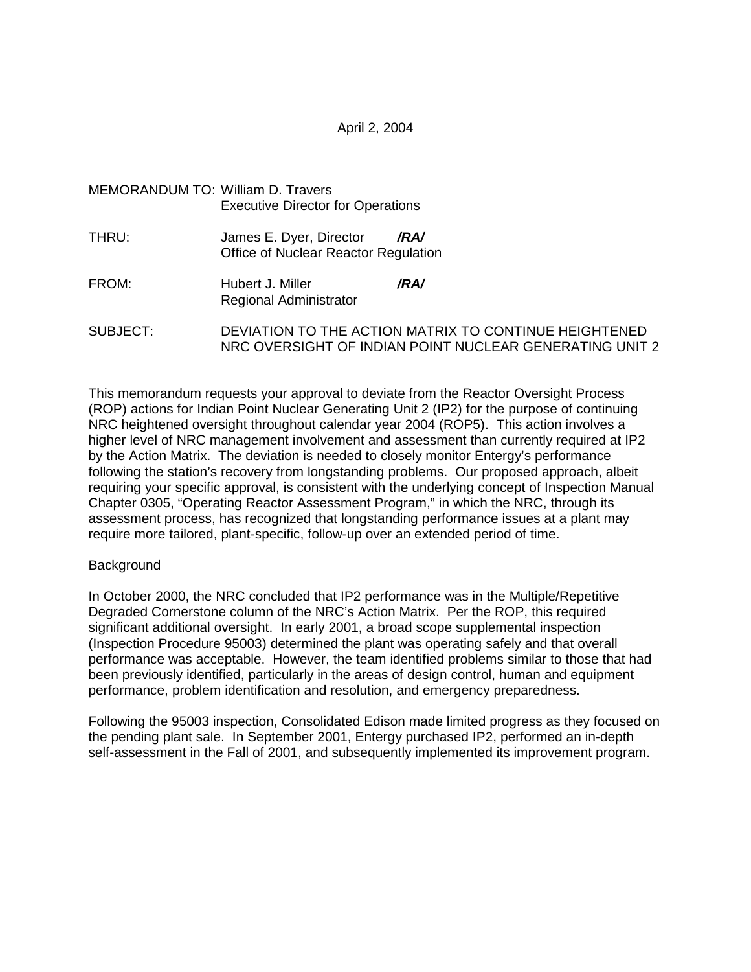April 2, 2004

| MEMORANDUM TO: William D. Travers |                                          |  |
|-----------------------------------|------------------------------------------|--|
|                                   | <b>Executive Director for Operations</b> |  |

- THRU: James E. Dyer, Director **/RA/** Office of Nuclear Reactor Regulation
- FROM: Hubert J. Miller **/RA/** Regional Administrator
- SUBJECT: DEVIATION TO THE ACTION MATRIX TO CONTINUE HEIGHTENED NRC OVERSIGHT OF INDIAN POINT NUCLEAR GENERATING UNIT 2

This memorandum requests your approval to deviate from the Reactor Oversight Process (ROP) actions for Indian Point Nuclear Generating Unit 2 (IP2) for the purpose of continuing NRC heightened oversight throughout calendar year 2004 (ROP5). This action involves a higher level of NRC management involvement and assessment than currently required at IP2 by the Action Matrix. The deviation is needed to closely monitor Entergy's performance following the station's recovery from longstanding problems. Our proposed approach, albeit requiring your specific approval, is consistent with the underlying concept of Inspection Manual Chapter 0305, "Operating Reactor Assessment Program," in which the NRC, through its assessment process, has recognized that longstanding performance issues at a plant may require more tailored, plant-specific, follow-up over an extended period of time.

#### **Background**

In October 2000, the NRC concluded that IP2 performance was in the Multiple/Repetitive Degraded Cornerstone column of the NRC's Action Matrix. Per the ROP, this required significant additional oversight. In early 2001, a broad scope supplemental inspection (Inspection Procedure 95003) determined the plant was operating safely and that overall performance was acceptable. However, the team identified problems similar to those that had been previously identified, particularly in the areas of design control, human and equipment performance, problem identification and resolution, and emergency preparedness.

Following the 95003 inspection, Consolidated Edison made limited progress as they focused on the pending plant sale. In September 2001, Entergy purchased IP2, performed an in-depth self-assessment in the Fall of 2001, and subsequently implemented its improvement program.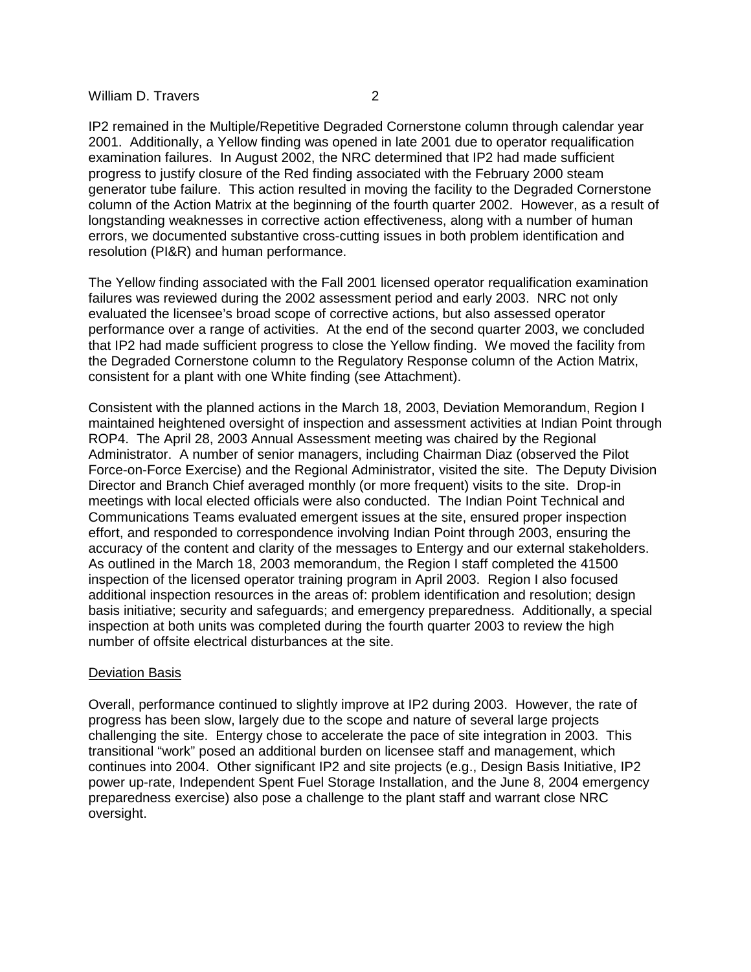IP2 remained in the Multiple/Repetitive Degraded Cornerstone column through calendar year 2001. Additionally, a Yellow finding was opened in late 2001 due to operator requalification examination failures. In August 2002, the NRC determined that IP2 had made sufficient progress to justify closure of the Red finding associated with the February 2000 steam generator tube failure. This action resulted in moving the facility to the Degraded Cornerstone column of the Action Matrix at the beginning of the fourth quarter 2002. However, as a result of longstanding weaknesses in corrective action effectiveness, along with a number of human errors, we documented substantive cross-cutting issues in both problem identification and resolution (PI&R) and human performance.

The Yellow finding associated with the Fall 2001 licensed operator requalification examination failures was reviewed during the 2002 assessment period and early 2003. NRC not only evaluated the licensee's broad scope of corrective actions, but also assessed operator performance over a range of activities. At the end of the second quarter 2003, we concluded that IP2 had made sufficient progress to close the Yellow finding. We moved the facility from the Degraded Cornerstone column to the Regulatory Response column of the Action Matrix, consistent for a plant with one White finding (see Attachment).

Consistent with the planned actions in the March 18, 2003, Deviation Memorandum, Region I maintained heightened oversight of inspection and assessment activities at Indian Point through ROP4. The April 28, 2003 Annual Assessment meeting was chaired by the Regional Administrator. A number of senior managers, including Chairman Diaz (observed the Pilot Force-on-Force Exercise) and the Regional Administrator, visited the site. The Deputy Division Director and Branch Chief averaged monthly (or more frequent) visits to the site. Drop-in meetings with local elected officials were also conducted. The Indian Point Technical and Communications Teams evaluated emergent issues at the site, ensured proper inspection effort, and responded to correspondence involving Indian Point through 2003, ensuring the accuracy of the content and clarity of the messages to Entergy and our external stakeholders. As outlined in the March 18, 2003 memorandum, the Region I staff completed the 41500 inspection of the licensed operator training program in April 2003. Region I also focused additional inspection resources in the areas of: problem identification and resolution; design basis initiative; security and safeguards; and emergency preparedness. Additionally, a special inspection at both units was completed during the fourth quarter 2003 to review the high number of offsite electrical disturbances at the site.

#### Deviation Basis

Overall, performance continued to slightly improve at IP2 during 2003. However, the rate of progress has been slow, largely due to the scope and nature of several large projects challenging the site. Entergy chose to accelerate the pace of site integration in 2003. This transitional "work" posed an additional burden on licensee staff and management, which continues into 2004. Other significant IP2 and site projects (e.g., Design Basis Initiative, IP2 power up-rate, Independent Spent Fuel Storage Installation, and the June 8, 2004 emergency preparedness exercise) also pose a challenge to the plant staff and warrant close NRC oversight.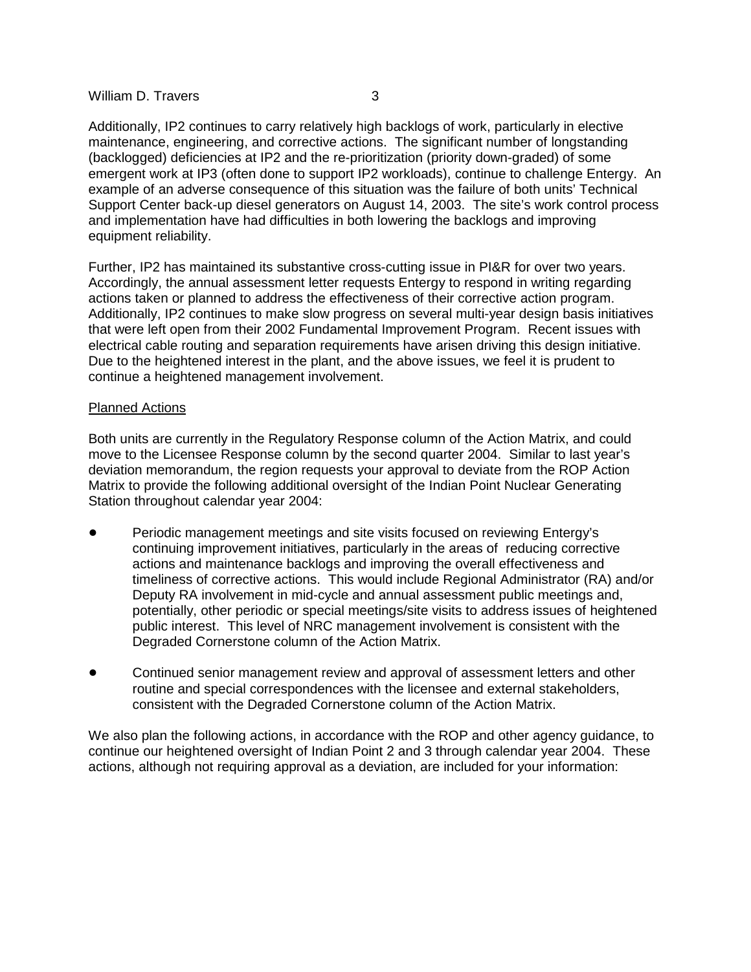Additionally, IP2 continues to carry relatively high backlogs of work, particularly in elective maintenance, engineering, and corrective actions. The significant number of longstanding (backlogged) deficiencies at IP2 and the re-prioritization (priority down-graded) of some emergent work at IP3 (often done to support IP2 workloads), continue to challenge Entergy. An example of an adverse consequence of this situation was the failure of both units' Technical Support Center back-up diesel generators on August 14, 2003. The site's work control process and implementation have had difficulties in both lowering the backlogs and improving equipment reliability.

Further, IP2 has maintained its substantive cross-cutting issue in PI&R for over two years. Accordingly, the annual assessment letter requests Entergy to respond in writing regarding actions taken or planned to address the effectiveness of their corrective action program. Additionally, IP2 continues to make slow progress on several multi-year design basis initiatives that were left open from their 2002 Fundamental Improvement Program. Recent issues with electrical cable routing and separation requirements have arisen driving this design initiative. Due to the heightened interest in the plant, and the above issues, we feel it is prudent to continue a heightened management involvement.

## Planned Actions

Both units are currently in the Regulatory Response column of the Action Matrix, and could move to the Licensee Response column by the second quarter 2004. Similar to last year's deviation memorandum, the region requests your approval to deviate from the ROP Action Matrix to provide the following additional oversight of the Indian Point Nuclear Generating Station throughout calendar year 2004:

- Periodic management meetings and site visits focused on reviewing Entergy's continuing improvement initiatives, particularly in the areas of reducing corrective actions and maintenance backlogs and improving the overall effectiveness and timeliness of corrective actions. This would include Regional Administrator (RA) and/or Deputy RA involvement in mid-cycle and annual assessment public meetings and, potentially, other periodic or special meetings/site visits to address issues of heightened public interest. This level of NRC management involvement is consistent with the Degraded Cornerstone column of the Action Matrix.
- Continued senior management review and approval of assessment letters and other routine and special correspondences with the licensee and external stakeholders, consistent with the Degraded Cornerstone column of the Action Matrix.

We also plan the following actions, in accordance with the ROP and other agency guidance, to continue our heightened oversight of Indian Point 2 and 3 through calendar year 2004. These actions, although not requiring approval as a deviation, are included for your information: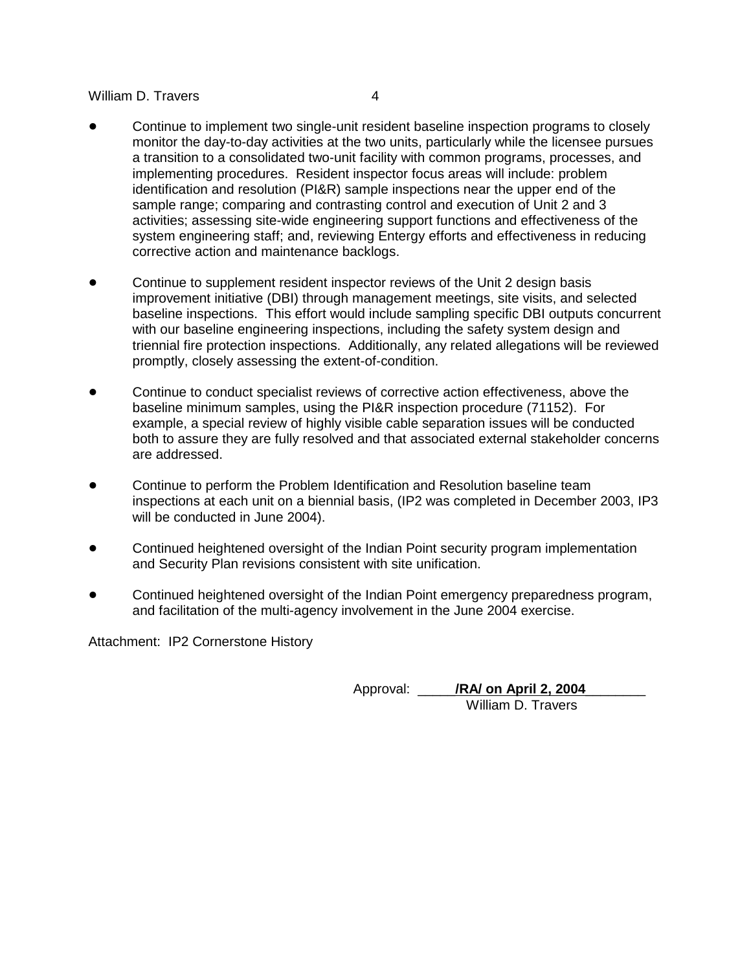- Continue to implement two single-unit resident baseline inspection programs to closely monitor the day-to-day activities at the two units, particularly while the licensee pursues a transition to a consolidated two-unit facility with common programs, processes, and implementing procedures. Resident inspector focus areas will include: problem identification and resolution (PI&R) sample inspections near the upper end of the sample range; comparing and contrasting control and execution of Unit 2 and 3 activities; assessing site-wide engineering support functions and effectiveness of the system engineering staff; and, reviewing Entergy efforts and effectiveness in reducing corrective action and maintenance backlogs.
- Continue to supplement resident inspector reviews of the Unit 2 design basis improvement initiative (DBI) through management meetings, site visits, and selected baseline inspections. This effort would include sampling specific DBI outputs concurrent with our baseline engineering inspections, including the safety system design and triennial fire protection inspections. Additionally, any related allegations will be reviewed promptly, closely assessing the extent-of-condition.
- Continue to conduct specialist reviews of corrective action effectiveness, above the baseline minimum samples, using the PI&R inspection procedure (71152). For example, a special review of highly visible cable separation issues will be conducted both to assure they are fully resolved and that associated external stakeholder concerns are addressed.
- Continue to perform the Problem Identification and Resolution baseline team inspections at each unit on a biennial basis, (IP2 was completed in December 2003, IP3 will be conducted in June 2004).
- Continued heightened oversight of the Indian Point security program implementation and Security Plan revisions consistent with site unification.
- Continued heightened oversight of the Indian Point emergency preparedness program, and facilitation of the multi-agency involvement in the June 2004 exercise.

Attachment: IP2 Cornerstone History

Approval: **/RA/ on April 2, 2004** William D. Travers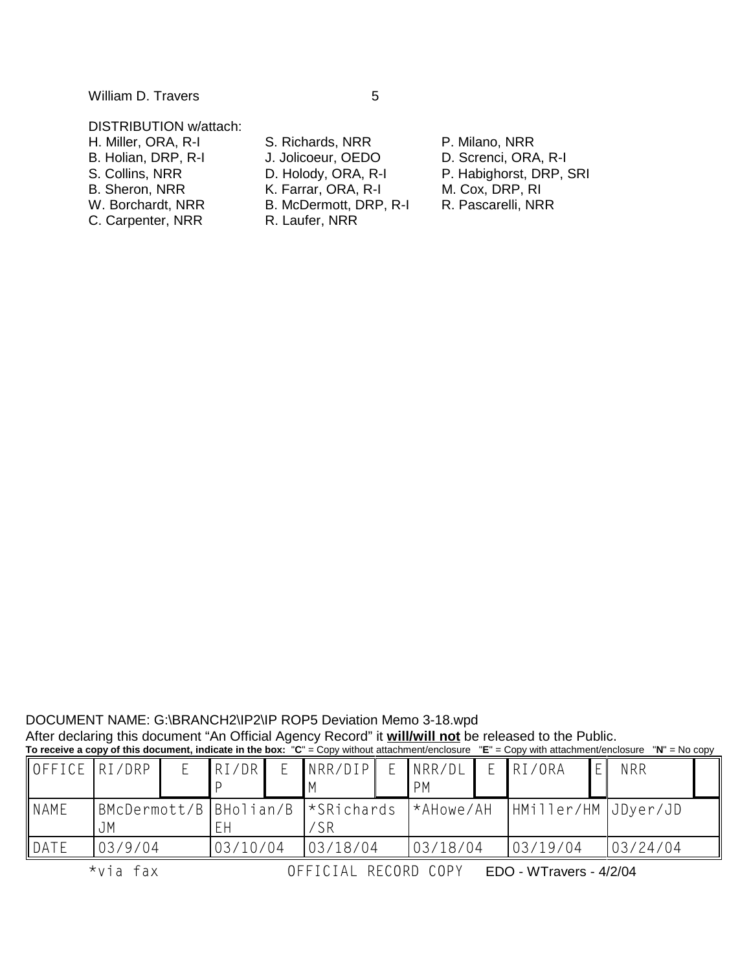# DISTRIBUTION w/attach:

- 
- 
- 
- C. Carpenter, NRR R. Laufer, NRR

H. Miller, ORA, R-I S. Richards, NRR P. Milano, NRR<br>B. Holian, DRP, R-I J. Jolicoeur, OEDO D. Screnci, ORA J. Jolicoeur, OEDO D. Screnci, ORA, R-I<br>D. Holody, ORA, R-I P. Habighorst, DRP, B. Sheron, NRR K. Farrar, ORA, R-I M. Cox, DRP, RI W. Borchardt, NRR B. McDermott, DRP, R-I R. Pascarelli, NRR

S. Collins, NRR D. Holody, ORA, R-I P. Habighorst, DRP, SRI

| DOCUMENT NAME: G:\BRANCH2\IP2\IP ROP5 Deviation Memo 3-18.wpd                                                                                       |  |
|-----------------------------------------------------------------------------------------------------------------------------------------------------|--|
| After declaring this document "An Official Agency Record" it <b>will/will not</b> be released to the Public.                                        |  |
| To receive a copy of this document, indicate in the box: "C" = Copy without attachment/enclosure "E" = Copy with attachment/enclosure "N" = No copy |  |

| OFFICE RI/DRP |                                             |  | IRI/DR   |  | NRR/DIP  |  | NRR/DL<br>PM     |  | RI/ORA              |  | <b>NRR</b> |  |
|---------------|---------------------------------------------|--|----------|--|----------|--|------------------|--|---------------------|--|------------|--|
| <b>NAME</b>   | BMcDermott/B   BHolian/B   *SRichards<br>JΜ |  |          |  |          |  | <b>*AHowe/AH</b> |  | HMiller/HM JDyer/JD |  |            |  |
| DATE          | 03/9/04                                     |  | 03/10/04 |  | 03/18/04 |  | 03/18/04         |  | 03/19/04            |  | 03/24/04   |  |

 $\star$ via fax  $\qquad \qquad$  OF

FICIAL RECORD COPY EDO-WTravers-4/2/04